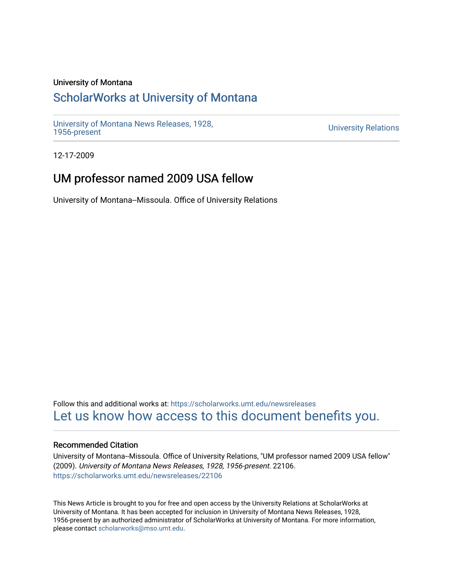#### University of Montana

## [ScholarWorks at University of Montana](https://scholarworks.umt.edu/)

[University of Montana News Releases, 1928,](https://scholarworks.umt.edu/newsreleases) 

**University Relations** 

12-17-2009

## UM professor named 2009 USA fellow

University of Montana--Missoula. Office of University Relations

Follow this and additional works at: [https://scholarworks.umt.edu/newsreleases](https://scholarworks.umt.edu/newsreleases?utm_source=scholarworks.umt.edu%2Fnewsreleases%2F22106&utm_medium=PDF&utm_campaign=PDFCoverPages) [Let us know how access to this document benefits you.](https://goo.gl/forms/s2rGfXOLzz71qgsB2) 

#### Recommended Citation

University of Montana--Missoula. Office of University Relations, "UM professor named 2009 USA fellow" (2009). University of Montana News Releases, 1928, 1956-present. 22106. [https://scholarworks.umt.edu/newsreleases/22106](https://scholarworks.umt.edu/newsreleases/22106?utm_source=scholarworks.umt.edu%2Fnewsreleases%2F22106&utm_medium=PDF&utm_campaign=PDFCoverPages) 

This News Article is brought to you for free and open access by the University Relations at ScholarWorks at University of Montana. It has been accepted for inclusion in University of Montana News Releases, 1928, 1956-present by an authorized administrator of ScholarWorks at University of Montana. For more information, please contact [scholarworks@mso.umt.edu.](mailto:scholarworks@mso.umt.edu)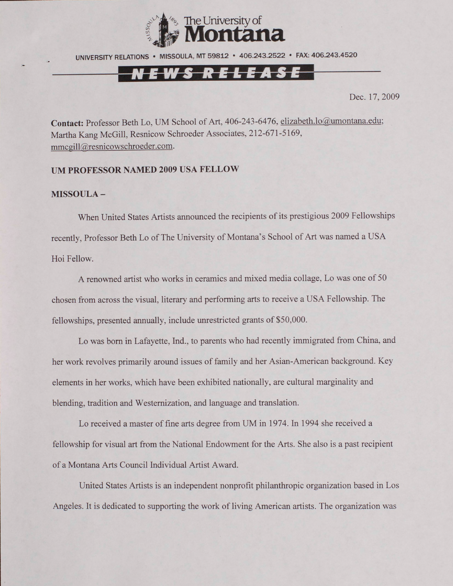

UNIVERSITY RELATIONS • MISSOULA, MT 59812 • 406.243.2522 • FAX: 406.243.4520

# <u>EWS RELEASE</u>

Dec. 17, 2009

Contact: Professor Beth Lo, UM School of Art, 406-243-6476, [elizabeth.lo@umontana.edu;](mailto:elizabeth.lo@umontana.edu) Martha Kang McGill, Resnicow Schroeder Associates, 212-671-5169, [mmcgill@resnicowschroeder.com](mailto:mmcgill@resnicowschroeder.com).

### **UM PROFESSOR NAMED 2009 USA FELLOW**

#### **MISSOULA -**

When United States Artists announced the recipients of its prestigious 2009 Fellowships recently, Professor Beth Lo of The University of Montana's School of Art was named a USA Hoi Fellow.

A renowned artist who works in ceramics and mixed media collage, Lo was one of 50 chosen from across the visual, literary and performing arts to receive a USA Fellowship. The fellowships, presented annually, include unrestricted grants of \$50,000.

Lo was bom in Lafayette, Ind., to parents who had recently immigrated from China, and her work revolves primarily around issues of family and her Asian-American background. Key elements in her works, which have been exhibited nationally, are cultural marginality and blending, tradition and Westernization, and language and translation.

Lo received a master of fine arts degree from UM in 1974. In 1994 she received a fellowship for visual art from the National Endowment for the Arts. She also is a past recipient of a Montana Arts Council Individual Artist Award.

United States Artists is an independent nonprofit philanthropic organization based in Los Angeles. It is dedicated to supporting the work of living American artists. The organization was